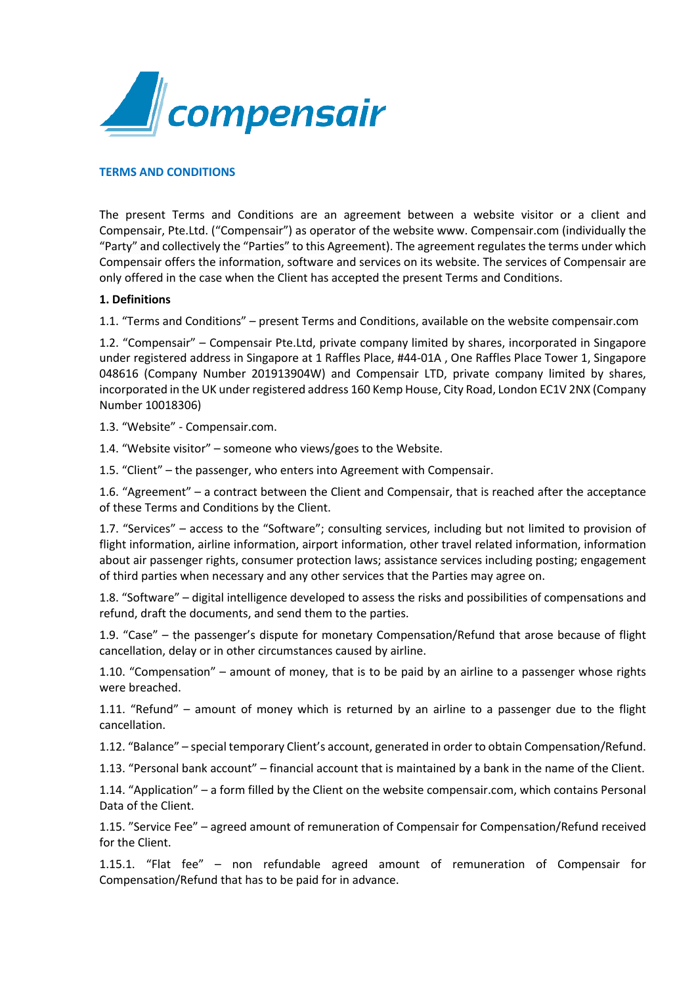

### **TERMS AND CONDITIONS**

The present Terms and Conditions are an agreement between a website visitor or a client and Compensair, Pte.Ltd. ("Compensair") as operator of the website www. Compensair.com (individually the "Party" and collectively the "Parties" to this Agreement). The agreement regulates the terms under which Compensair offers the information, software and services on its website. The services of Compensair are only offered in the case when the Client has accepted the present Terms and Conditions.

#### **1. Definitions**

1.1. "Terms and Conditions" – present Terms and Conditions, available on the website compensair.com

1.2. "Compensair" – Compensair Pte.Ltd, private company limited by shares, incorporated in Singapore under registered address in Singapore at 1 Raffles Place, #44-01A , One Raffles Place Tower 1, Singapore 048616 (Company Number 201913904W) and Compensair LTD, private company limited by shares, incorporated in the UK under registered address 160 Kemp House, City Road, London EC1V 2NX (Company Number 10018306)

1.3. "Website" - Compensair.com.

1.4. "Website visitor" – someone who views/goes to the Website.

1.5. "Client" – the passenger, who enters into Agreement with Compensair.

1.6. "Agreement" – a contract between the Client and Compensair, that is reached after the acceptance of these Terms and Conditions by the Client.

1.7. "Services" – access to the "Software"; consulting services, including but not limited to provision of flight information, airline information, airport information, other travel related information, information about air passenger rights, consumer protection laws; assistance services including posting; engagement of third parties when necessary and any other services that the Parties may agree on.

1.8. "Software" – digital intelligence developed to assess the risks and possibilities of compensations and refund, draft the documents, and send them to the parties.

1.9. "Case" – the passenger's dispute for monetary Compensation/Refund that arose because of flight cancellation, delay or in other circumstances caused by airline.

1.10. "Compensation" – amount of money, that is to be paid by an airline to a passenger whose rights were breached.

1.11. "Refund" – amount of money which is returned by an airline to a passenger due to the flight cancellation.

1.12. "Balance" – special temporary Client's account, generated in order to obtain Compensation/Refund.

1.13. "Personal bank account" – financial account that is maintained by a bank in the name of the Client.

1.14. "Application" – a form filled by the Client on the website compensair.com, which contains Personal Data of the Client.

1.15. "Service Fee" – agreed amount of remuneration of Compensair for Compensation/Refund received for the Client.

1.15.1. "Flat fee" – non refundable agreed amount of remuneration of Compensair for Compensation/Refund that has to be paid for in advance.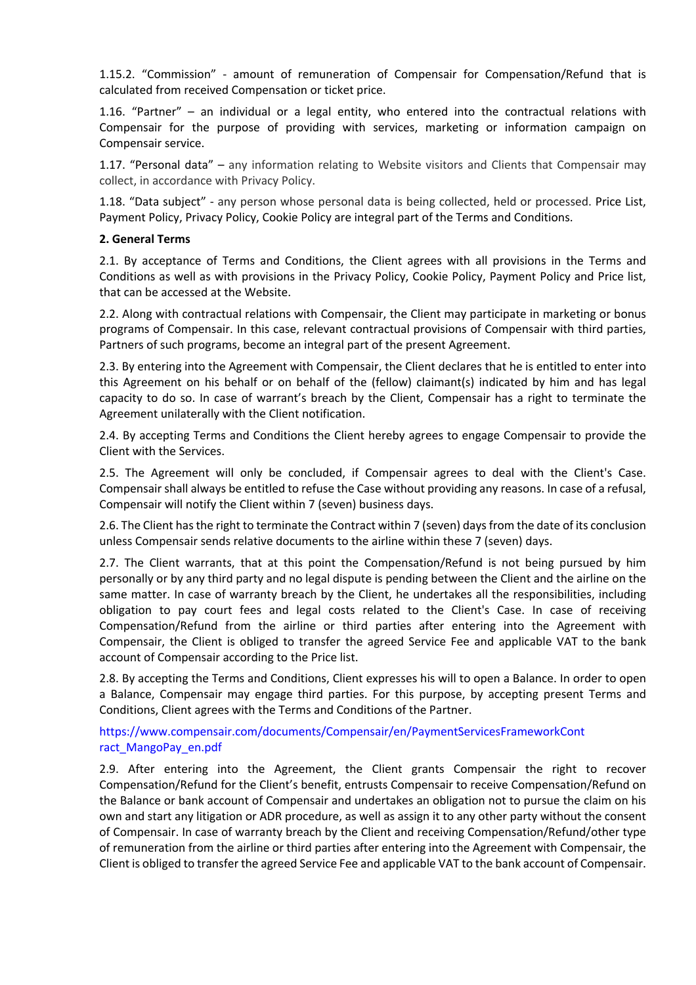1.15.2. "Commission" - amount of remuneration of Compensair for Compensation/Refund that is calculated from received Compensation or ticket price.

1.16. "Partner" – an individual or a legal entity, who entered into the contractual relations with Compensair for the purpose of providing with services, marketing or information campaign on Compensair service.

1.17. "Personal data" – any information relating to Website visitors and Clients that Compensair may collect, in accordance with Privacy Policy.

1.18. "Data subject" - any person whose personal data is being collected, held or processed. Price List, Payment Policy, Privacy Policy, Cookie Policy are integral part of the Terms and Conditions.

### **2. General Terms**

2.1. By acceptance of Terms and Conditions, the Client agrees with all provisions in the Terms and Conditions as well as with provisions in the Privacy Policy, Cookie Policy, Payment Policy and Price list, that can be accessed at the Website.

2.2. Along with contractual relations with Compensair, the Client may participate in marketing or bonus programs of Compensair. In this case, relevant contractual provisions of Compensair with third parties, Partners of such programs, become an integral part of the present Agreement.

2.3. By entering into the Agreement with Compensair, the Client declares that he is entitled to enter into this Agreement on his behalf or on behalf of the (fellow) claimant(s) indicated by him and has legal capacity to do so. In case of warrant's breach by the Client, Compensair has a right to terminate the Agreement unilaterally with the Client notification.

2.4. By accepting Terms and Conditions the Client hereby agrees to engage Compensair to provide the Client with the Services.

2.5. The Agreement will only be concluded, if Compensair agrees to deal with the Client's Case. Compensair shall always be entitled to refuse the Case without providing any reasons. In case of a refusal, Compensair will notify the Client within 7 (seven) business days.

2.6. The Client has the right to terminate the Contract within 7 (seven) days from the date of its conclusion unless Compensair sends relative documents to the airline within these 7 (seven) days.

2.7. The Client warrants, that at this point the Compensation/Refund is not being pursued by him personally or by any third party and no legal dispute is pending between the Client and the airline on the same matter. In case of warranty breach by the Client, he undertakes all the responsibilities, including obligation to pay court fees and legal costs related to the Client's Case. In case of receiving Compensation/Refund from the airline or third parties after entering into the Agreement with Compensair, the Client is obliged to transfer the agreed Service Fee and applicable VAT to the bank account of Compensair according to the Price list.

2.8. By accepting the Terms and Conditions, Client expresses his will to open a Balance. In order to open a Balance, Compensair may engage third parties. For this purpose, by accepting present Terms and Conditions, Client agrees with the Terms and Conditions of the Partner.

## https://www.compensair.com/documents/Compensair/en/PaymentServicesFrameworkCont ract\_MangoPay\_en.pdf

2.9. After entering into the Agreement, the Client grants Compensair the right to recover Compensation/Refund for the Client's benefit, entrusts Compensair to receive Compensation/Refund on the Balance or bank account of Compensair and undertakes an obligation not to pursue the claim on his own and start any litigation or ADR procedure, as well as assign it to any other party without the consent of Compensair. In case of warranty breach by the Client and receiving Compensation/Refund/other type of remuneration from the airline or third parties after entering into the Agreement with Compensair, the Client is obliged to transfer the agreed Service Fee and applicable VAT to the bank account of Compensair.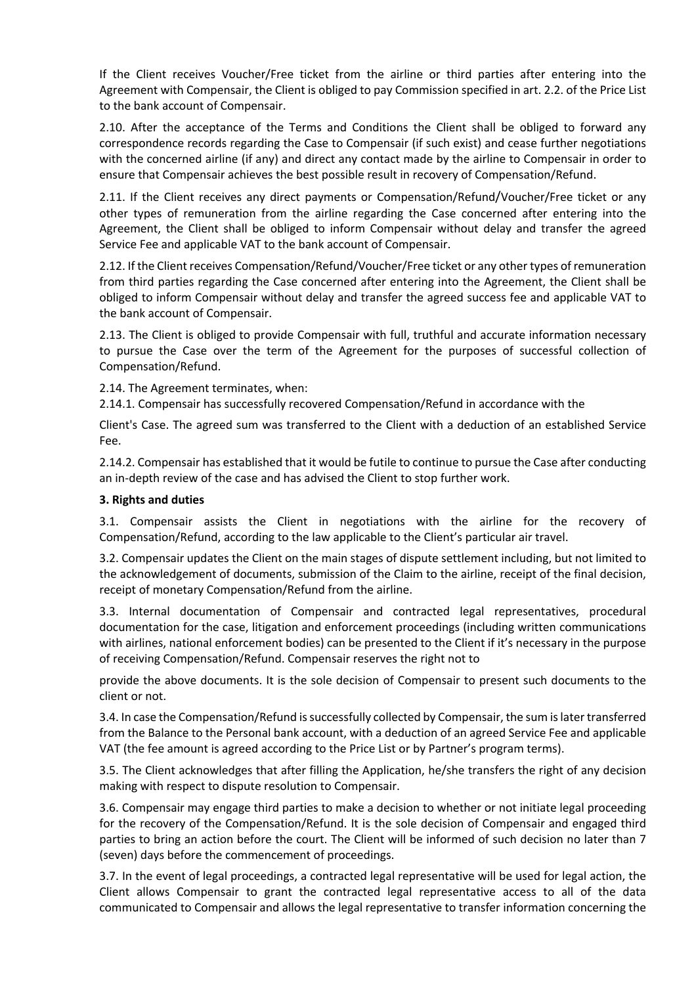If the Client receives Voucher/Free ticket from the airline or third parties after entering into the Agreement with Compensair, the Client is obliged to pay Commission specified in art. 2.2. of the Price List to the bank account of Compensair.

2.10. After the acceptance of the Terms and Conditions the Client shall be obliged to forward any correspondence records regarding the Case to Compensair (if such exist) and cease further negotiations with the concerned airline (if any) and direct any contact made by the airline to Compensair in order to ensure that Compensair achieves the best possible result in recovery of Compensation/Refund.

2.11. If the Client receives any direct payments or Compensation/Refund/Voucher/Free ticket or any other types of remuneration from the airline regarding the Case concerned after entering into the Agreement, the Client shall be obliged to inform Compensair without delay and transfer the agreed Service Fee and applicable VAT to the bank account of Compensair.

2.12. If the Client receives Compensation/Refund/Voucher/Free ticket or any other types of remuneration from third parties regarding the Case concerned after entering into the Agreement, the Client shall be obliged to inform Compensair without delay and transfer the agreed success fee and applicable VAT to the bank account of Compensair.

2.13. The Client is obliged to provide Compensair with full, truthful and accurate information necessary to pursue the Case over the term of the Agreement for the purposes of successful collection of Сompensation/Refund.

2.14. The Agreement terminates, when:

2.14.1. Compensair has successfully recovered Compensation/Refund in accordance with the

Client's Case. The agreed sum was transferred to the Client with a deduction of an established Service Fee.

2.14.2. Compensair has established that it would be futile to continue to pursue the Case after conducting an in-depth review of the case and has advised the Client to stop further work.

## **3. Rights and duties**

3.1. Compensair assists the Client in negotiations with the airline for the recovery of Compensation/Refund, according to the law applicable to the Client's particular air travel.

3.2. Compensair updates the Client on the main stages of dispute settlement including, but not limited to the acknowledgement of documents, submission of the Claim to the airline, receipt of the final decision, receipt of monetary Compensation/Refund from the airline.

3.3. Internal documentation of Compensair and contracted legal representatives, procedural documentation for the case, litigation and enforcement proceedings (including written communications with airlines, national enforcement bodies) can be presented to the Client if it's necessary in the purpose of receiving Compensation/Refund. Compensair reserves the right not to

provide the above documents. It is the sole decision of Compensair to present such documents to the client or not.

3.4. In case the Compensation/Refund issuccessfully collected by Compensair, the sum islater transferred from the Balance to the Personal bank account, with a deduction of an agreed Service Fee and applicable VAT (the fee amount is agreed according to the Price List or by Partner's program terms).

3.5. The Client acknowledges that after filling the Application, he/she transfers the right of any decision making with respect to dispute resolution to Compensair.

3.6. Compensair may engage third parties to make a decision to whether or not initiate legal proceeding for the recovery of the Compensation/Refund. It is the sole decision of Compensair and engaged third parties to bring an action before the court. The Client will be informed of such decision no later than 7 (seven) days before the commencement of proceedings.

3.7. In the event of legal proceedings, a contracted legal representative will be used for legal action, the Client allows Compensair to grant the contracted legal representative access to all of the data communicated to Compensair and allows the legal representative to transfer information concerning the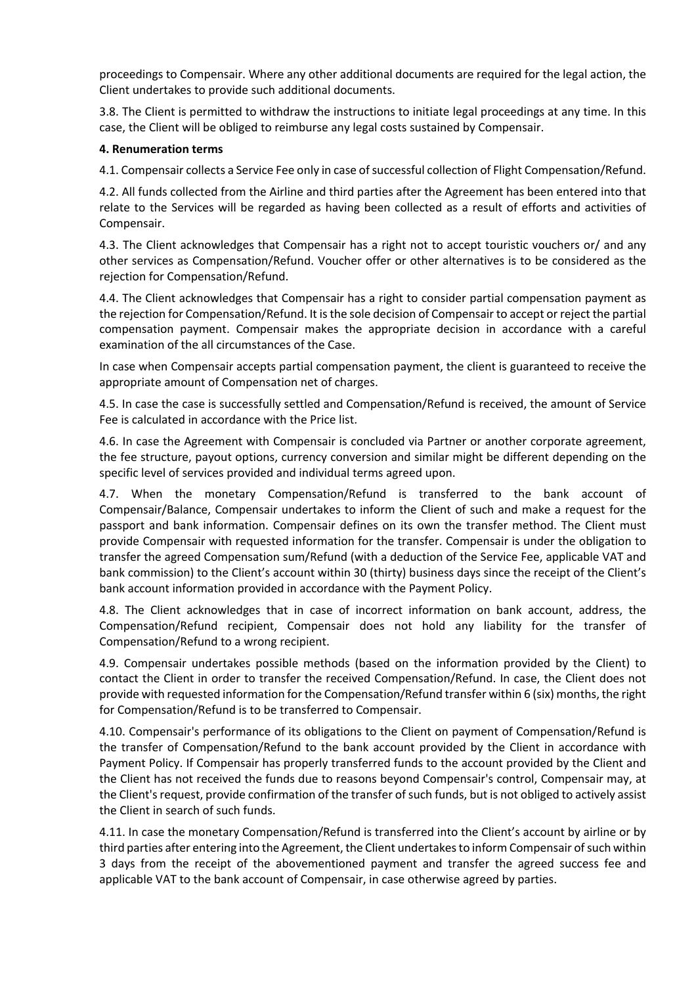proceedings to Compensair. Where any other additional documents are required for the legal action, the Client undertakes to provide such additional documents.

3.8. The Client is permitted to withdraw the instructions to initiate legal proceedings at any time. In this case, the Client will be obliged to reimburse any legal costs sustained by Compensair.

## **4. Renumeration terms**

4.1. Compensair collects a Service Fee only in case of successful collection of Flight Compensation/Refund.

4.2. All funds collected from the Airline and third parties after the Agreement has been entered into that relate to the Services will be regarded as having been collected as a result of efforts and activities of Compensair.

4.3. The Client acknowledges that Compensair has a right not to accept touristic vouchers or/ and any other services as Compensation/Refund. Voucher offer or other alternatives is to be considered as the rejection for Compensation/Refund.

4.4. The Client acknowledges that Compensair has a right to consider partial compensation payment as the rejection for Compensation/Refund. It isthe sole decision of Compensair to accept or reject the partial compensation payment. Compensair makes the appropriate decision in accordance with a careful examination of the all circumstances of the Case.

In case when Compensair accepts partial compensation payment, the client is guaranteed to receive the appropriate amount of Compensation net of charges.

4.5. In case the case is successfully settled and Compensation/Refund is received, the amount of Service Fee is calculated in accordance with the Price list.

4.6. In case the Agreement with Compensair is concluded via Partner or another corporate agreement, the fee structure, payout options, currency conversion and similar might be different depending on the specific level of services provided and individual terms agreed upon.

4.7. When the monetary Compensation/Refund is transferred to the bank account of Compensair/Balance, Compensair undertakes to inform the Client of such and make a request for the passport and bank information. Compensair defines on its own the transfer method. The Client must provide Compensair with requested information for the transfer. Compensair is under the obligation to transfer the agreed Compensation sum/Refund (with a deduction of the Service Fee, applicable VAT and bank commission) to the Client's account within 30 (thirty) business days since the receipt of the Client's bank account information provided in accordance with the Payment Policy.

4.8. The Client acknowledges that in case of incorrect information on bank account, address, the Compensation/Refund recipient, Compensair does not hold any liability for the transfer of Compensation/Refund to a wrong recipient.

4.9. Compensair undertakes possible methods (based on the information provided by the Client) to contact the Client in order to transfer the received Compensation/Refund. In case, the Client does not provide with requested information forthe Compensation/Refund transfer within 6 (six) months, the right for Compensation/Refund is to be transferred to Compensair.

4.10. Compensair's performance of its obligations to the Client on payment of Compensation/Refund is the transfer of Compensation/Refund to the bank account provided by the Client in accordance with Payment Policy. If Compensair has properly transferred funds to the account provided by the Client and the Client has not received the funds due to reasons beyond Compensair's control, Compensair may, at the Client's request, provide confirmation of the transfer of such funds, but is not obliged to actively assist the Client in search of such funds.

4.11. In case the monetary Compensation/Refund is transferred into the Client's account by airline or by third parties after entering into the Agreement, the Client undertakes to inform Compensair of such within 3 days from the receipt of the abovementioned payment and transfer the agreed success fee and applicable VAT to the bank account of Compensair, in case otherwise agreed by parties.